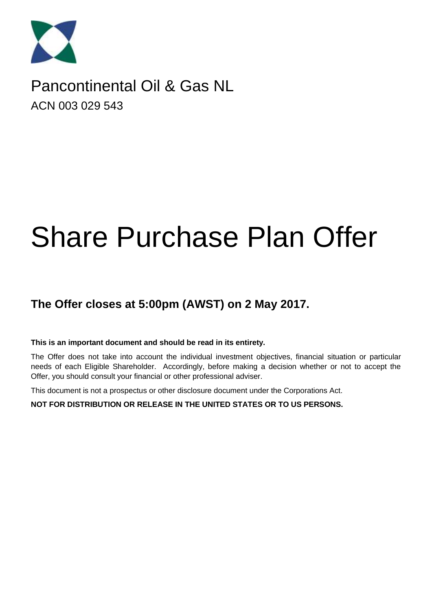

# Pancontinental Oil & Gas NL ACN 003 029 543

# Share Purchase Plan Offer

### **The Offer closes at 5:00pm (AWST) on 2 May 2017.**

#### **This is an important document and should be read in its entirety.**

The Offer does not take into account the individual investment objectives, financial situation or particular needs of each Eligible Shareholder. Accordingly, before making a decision whether or not to accept the Offer, you should consult your financial or other professional adviser.

This document is not a prospectus or other disclosure document under the Corporations Act.

**NOT FOR DISTRIBUTION OR RELEASE IN THE UNITED STATES OR TO US PERSONS.**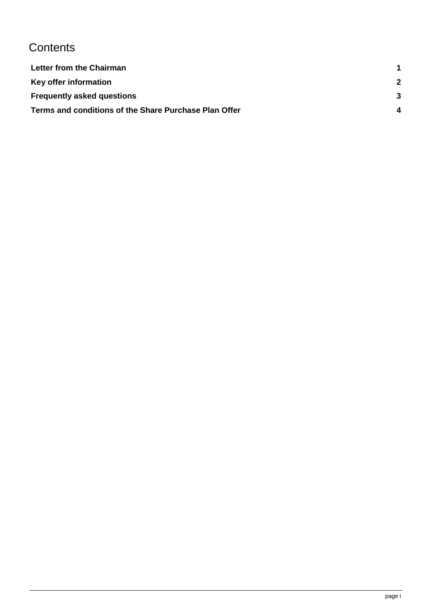# **Contents**

| Letter from the Chairman                              |   |
|-------------------------------------------------------|---|
| Key offer information                                 | 2 |
| <b>Frequently asked questions</b>                     |   |
| Terms and conditions of the Share Purchase Plan Offer |   |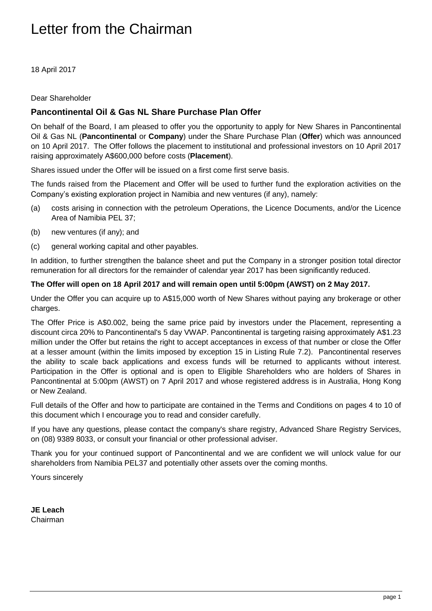# <span id="page-2-0"></span>Letter from the Chairman

18 April 2017

Dear Shareholder

#### **Pancontinental Oil & Gas NL Share Purchase Plan Offer**

On behalf of the Board, I am pleased to offer you the opportunity to apply for New Shares in Pancontinental Oil & Gas NL (**Pancontinental** or **Company**) under the Share Purchase Plan (**Offer**) which was announced on 10 April 2017. The Offer follows the placement to institutional and professional investors on 10 April 2017 raising approximately A\$600,000 before costs (**Placement**).

Shares issued under the Offer will be issued on a first come first serve basis.

The funds raised from the Placement and Offer will be used to further fund the exploration activities on the Company's existing exploration project in Namibia and new ventures (if any), namely:

- (a) costs arising in connection with the petroleum Operations, the Licence Documents, and/or the Licence Area of Namibia PEL 37;
- (b) new ventures (if any); and
- (c) general working capital and other payables.

In addition, to further strengthen the balance sheet and put the Company in a stronger position total director remuneration for all directors for the remainder of calendar year 2017 has been significantly reduced.

#### **The Offer will open on 18 April 2017 and will remain open until 5:00pm (AWST) on 2 May 2017.**

Under the Offer you can acquire up to A\$15,000 worth of New Shares without paying any brokerage or other charges.

The Offer Price is A\$0.002, being the same price paid by investors under the Placement, representing a discount circa 20% to Pancontinental's 5 day VWAP. Pancontinental is targeting raising approximately A\$1.23 million under the Offer but retains the right to accept acceptances in excess of that number or close the Offer at a lesser amount (within the limits imposed by exception 15 in Listing Rule 7.2). Pancontinental reserves the ability to scale back applications and excess funds will be returned to applicants without interest. Participation in the Offer is optional and is open to Eligible Shareholders who are holders of Shares in Pancontinental at 5:00pm (AWST) on 7 April 2017 and whose registered address is in Australia, Hong Kong or New Zealand.

Full details of the Offer and how to participate are contained in the Terms and Conditions on pages [4](#page-5-1) to 10 of this document which I encourage you to read and consider carefully.

If you have any questions, please contact the company's share registry, Advanced Share Registry Services, on (08) 9389 8033, or consult your financial or other professional adviser.

Thank you for your continued support of Pancontinental and we are confident we will unlock value for our shareholders from Namibia PEL37 and potentially other assets over the coming months.

Yours sincerely

**JE Leach** Chairman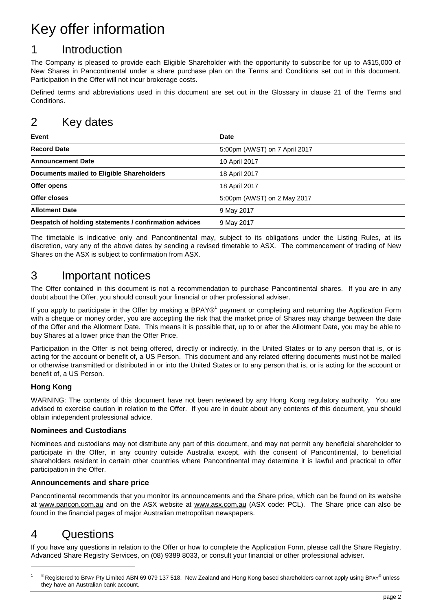# <span id="page-3-0"></span>Key offer information

### 1 Introduction

The Company is pleased to provide each Eligible Shareholder with the opportunity to subscribe for up to A\$15,000 of New Shares in Pancontinental under a share purchase plan on the Terms and Conditions set out in this document. Participation in the Offer will not incur brokerage costs.

Defined terms and abbreviations used in this document are set out in the Glossary in clause [21](#page-11-0) of the Terms and Conditions.

### 2 Key dates

| Event                                                 | <b>Date</b>                   |
|-------------------------------------------------------|-------------------------------|
| <b>Record Date</b>                                    | 5:00pm (AWST) on 7 April 2017 |
| <b>Announcement Date</b>                              | 10 April 2017                 |
| <b>Documents mailed to Eligible Shareholders</b>      | 18 April 2017                 |
| Offer opens                                           | 18 April 2017                 |
| Offer closes                                          | 5:00pm (AWST) on 2 May 2017   |
| <b>Allotment Date</b>                                 | 9 May 2017                    |
| Despatch of holding statements / confirmation advices | 9 May 2017                    |

The timetable is indicative only and Pancontinental may, subject to its obligations under the Listing Rules, at its discretion, vary any of the above dates by sending a revised timetable to ASX. The commencement of trading of New Shares on the ASX is subject to confirmation from ASX.

### 3 Important notices

The Offer contained in this document is not a recommendation to purchase Pancontinental shares. If you are in any doubt about the Offer, you should consult your financial or other professional adviser.

If you apply to participate in the Offer by making a BPAY®<sup>1</sup> payment or completing and returning the Application Form with a cheque or money order, you are accepting the risk that the market price of Shares may change between the date of the Offer and the Allotment Date. This means it is possible that, up to or after the Allotment Date, you may be able to buy Shares at a lower price than the Offer Price.

Participation in the Offer is not being offered, directly or indirectly, in the United States or to any person that is, or is acting for the account or benefit of, a US Person. This document and any related offering documents must not be mailed or otherwise transmitted or distributed in or into the United States or to any person that is, or is acting for the account or benefit of, a US Person.

#### **Hong Kong**

WARNING: The contents of this document have not been reviewed by any Hong Kong regulatory authority. You are advised to exercise caution in relation to the Offer. If you are in doubt about any contents of this document, you should obtain independent professional advice.

#### **Nominees and Custodians**

Nominees and custodians may not distribute any part of this document, and may not permit any beneficial shareholder to participate in the Offer, in any country outside Australia except, with the consent of Pancontinental, to beneficial shareholders resident in certain other countries where Pancontinental may determine it is lawful and practical to offer participation in the Offer.

#### **Announcements and share price**

Pancontinental recommends that you monitor its announcements and the Share price, which can be found on its website at [www.pancon.com.au](http://www.pancon.com.au/) and on the ASX website at [www.asx.com.au](http://www.asx.com.au/) (ASX code: PCL). The Share price can also be found in the financial pages of major Australian metropolitan newspapers.

### 4 Questions

<span id="page-3-1"></span> $\overline{a}$ 

If you have any questions in relation to the Offer or how to complete the Application Form, please call the Share Registry, Advanced Share Registry Services, on (08) 9389 8033, or consult your financial or other professional adviser.

 $1$ <sup>®</sup> Registered to BPAY Pty Limited ABN 69 079 137 518. New Zealand and Hong Kong based shareholders cannot apply using BPAY<sup>®</sup> unless they have an Australian bank account.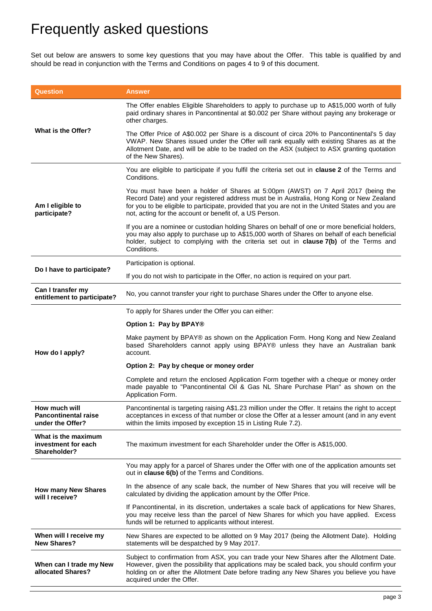# Frequently asked questions

Set out below are answers to some key questions that you may have about the Offer. This table is qualified by and should be read in conjunction with the Terms and Conditions on pages [4](#page-5-1) to [9](#page-10-0) of this document.

| <b>Question</b>                                                  | <b>Answer</b>                                                                                                                                                                                                                                                                                                                                |  |  |  |  |  |
|------------------------------------------------------------------|----------------------------------------------------------------------------------------------------------------------------------------------------------------------------------------------------------------------------------------------------------------------------------------------------------------------------------------------|--|--|--|--|--|
|                                                                  | The Offer enables Eligible Shareholders to apply to purchase up to A\$15,000 worth of fully<br>paid ordinary shares in Pancontinental at \$0.002 per Share without paying any brokerage or<br>other charges.                                                                                                                                 |  |  |  |  |  |
| What is the Offer?                                               | The Offer Price of A\$0.002 per Share is a discount of circa 20% to Pancontinental's 5 day<br>VWAP. New Shares issued under the Offer will rank equally with existing Shares as at the<br>Allotment Date, and will be able to be traded on the ASX (subject to ASX granting quotation<br>of the New Shares).                                 |  |  |  |  |  |
|                                                                  | You are eligible to participate if you fulfil the criteria set out in clause 2 of the Terms and<br>Conditions.                                                                                                                                                                                                                               |  |  |  |  |  |
| Am I eligible to<br>participate?                                 | You must have been a holder of Shares at 5:00pm (AWST) on 7 April 2017 (being the<br>Record Date) and your registered address must be in Australia, Hong Kong or New Zealand<br>for you to be eligible to participate, provided that you are not in the United States and you are<br>not, acting for the account or benefit of, a US Person. |  |  |  |  |  |
|                                                                  | If you are a nominee or custodian holding Shares on behalf of one or more beneficial holders,<br>you may also apply to purchase up to A\$15,000 worth of Shares on behalf of each beneficial<br>holder, subject to complying with the criteria set out in clause 7(b) of the Terms and<br>Conditions.                                        |  |  |  |  |  |
| Do I have to participate?                                        | Participation is optional.                                                                                                                                                                                                                                                                                                                   |  |  |  |  |  |
|                                                                  | If you do not wish to participate in the Offer, no action is required on your part.                                                                                                                                                                                                                                                          |  |  |  |  |  |
| Can I transfer my<br>entitlement to participate?                 | No, you cannot transfer your right to purchase Shares under the Offer to anyone else.                                                                                                                                                                                                                                                        |  |  |  |  |  |
|                                                                  | To apply for Shares under the Offer you can either:                                                                                                                                                                                                                                                                                          |  |  |  |  |  |
|                                                                  | Option 1: Pay by BPAY®                                                                                                                                                                                                                                                                                                                       |  |  |  |  |  |
| How do I apply?                                                  | Make payment by BPAY® as shown on the Application Form. Hong Kong and New Zealand<br>based Shareholders cannot apply using BPAY® unless they have an Australian bank<br>account.                                                                                                                                                             |  |  |  |  |  |
|                                                                  | Option 2: Pay by cheque or money order                                                                                                                                                                                                                                                                                                       |  |  |  |  |  |
|                                                                  | Complete and return the enclosed Application Form together with a cheque or money order<br>made payable to "Pancontinental Oil & Gas NL Share Purchase Plan" as shown on the<br>Application Form.                                                                                                                                            |  |  |  |  |  |
| How much will<br><b>Pancontinental raise</b><br>under the Offer? | Pancontinental is targeting raising A\$1.23 million under the Offer. It retains the right to accept<br>acceptances in excess of that number or close the Offer at a lesser amount (and in any event<br>within the limits imposed by exception 15 in Listing Rule 7.2).                                                                       |  |  |  |  |  |
| What is the maximum<br>investment for each<br>Shareholder?       | The maximum investment for each Shareholder under the Offer is A\$15,000.                                                                                                                                                                                                                                                                    |  |  |  |  |  |
|                                                                  | You may apply for a parcel of Shares under the Offer with one of the application amounts set<br>out in clause 6(b) of the Terms and Conditions.                                                                                                                                                                                              |  |  |  |  |  |
| <b>How many New Shares</b><br>will I receive?                    | In the absence of any scale back, the number of New Shares that you will receive will be<br>calculated by dividing the application amount by the Offer Price.                                                                                                                                                                                |  |  |  |  |  |
|                                                                  | If Pancontinental, in its discretion, undertakes a scale back of applications for New Shares,<br>you may receive less than the parcel of New Shares for which you have applied. Excess<br>funds will be returned to applicants without interest.                                                                                             |  |  |  |  |  |
| When will I receive my<br><b>New Shares?</b>                     | New Shares are expected to be allotted on 9 May 2017 (being the Allotment Date). Holding<br>statements will be despatched by 9 May 2017.                                                                                                                                                                                                     |  |  |  |  |  |
| When can I trade my New<br>allocated Shares?                     | Subject to confirmation from ASX, you can trade your New Shares after the Allotment Date.<br>However, given the possibility that applications may be scaled back, you should confirm your<br>holding on or after the Allotment Date before trading any New Shares you believe you have<br>acquired under the Offer.                          |  |  |  |  |  |
|                                                                  |                                                                                                                                                                                                                                                                                                                                              |  |  |  |  |  |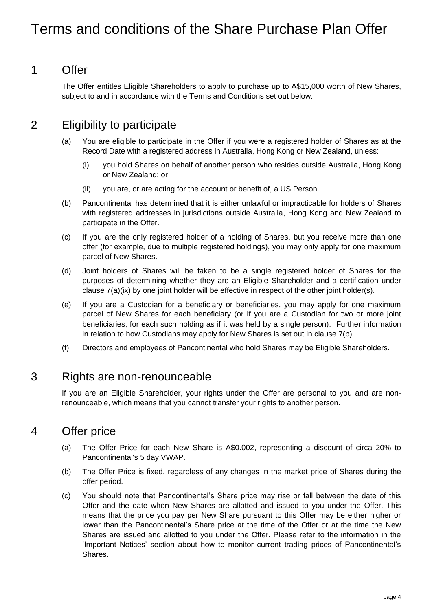# <span id="page-5-0"></span>Terms and conditions of the Share Purchase Plan Offer

### <span id="page-5-1"></span>1 Offer

The Offer entitles Eligible Shareholders to apply to purchase up to A\$15,000 worth of New Shares, subject to and in accordance with the Terms and Conditions set out below.

### 2 Eligibility to participate

- (a) You are eligible to participate in the Offer if you were a registered holder of Shares as at the Record Date with a registered address in Australia, Hong Kong or New Zealand, unless:
	- (i) you hold Shares on behalf of another person who resides outside Australia, Hong Kong or New Zealand; or
	- (ii) you are, or are acting for the account or benefit of, a US Person.
- (b) Pancontinental has determined that it is either unlawful or impracticable for holders of Shares with registered addresses in jurisdictions outside Australia, Hong Kong and New Zealand to participate in the Offer.
- <span id="page-5-2"></span>(c) If you are the only registered holder of a holding of Shares, but you receive more than one offer (for example, due to multiple registered holdings), you may only apply for one maximum parcel of New Shares.
- (d) Joint holders of Shares will be taken to be a single registered holder of Shares for the purposes of determining whether they are an Eligible Shareholder and a certification under clause  $7(a)(ix)$  $7(a)(ix)$  by one joint holder will be effective in respect of the other joint holder(s).
- (e) If you are a Custodian for a beneficiary or beneficiaries, you may apply for one maximum parcel of New Shares for each beneficiary (or if you are a Custodian for two or more joint beneficiaries, for each such holding as if it was held by a single person). Further information in relation to how Custodians may apply for New Shares is set out in clause [7\(b\).](#page-7-2)
- (f) Directors and employees of Pancontinental who hold Shares may be Eligible Shareholders.

### 3 Rights are non-renounceable

If you are an Eligible Shareholder, your rights under the Offer are personal to you and are nonrenounceable, which means that you cannot transfer your rights to another person.

### 4 Offer price

- (a) The Offer Price for each New Share is A\$0.002, representing a discount of circa 20% to Pancontinental's 5 day VWAP.
- (b) The Offer Price is fixed, regardless of any changes in the market price of Shares during the offer period.
- (c) You should note that Pancontinental's Share price may rise or fall between the date of this Offer and the date when New Shares are allotted and issued to you under the Offer. This means that the price you pay per New Share pursuant to this Offer may be either higher or lower than the Pancontinental's Share price at the time of the Offer or at the time the New Shares are issued and allotted to you under the Offer. Please refer to the information in the 'Important Notices' section about how to monitor current trading prices of Pancontinental's Shares.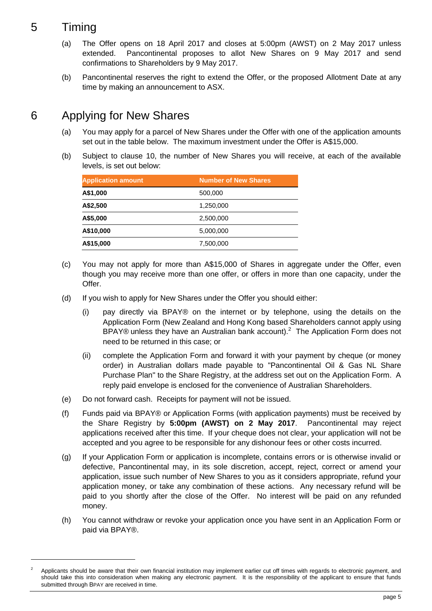### 5 Timing

 $\overline{a}$ 

- (a) The Offer opens on 18 April 2017 and closes at 5:00pm (AWST) on 2 May 2017 unless extended. Pancontinental proposes to allot New Shares on 9 May 2017 and send confirmations to Shareholders by 9 May 2017.
- (b) Pancontinental reserves the right to extend the Offer, or the proposed Allotment Date at any time by making an announcement to ASX.

### 6 Applying for New Shares

- (a) You may apply for a parcel of New Shares under the Offer with one of the application amounts set out in the table below. The maximum investment under the Offer is A\$15,000.
- (b) Subject to clause [10,](#page-8-0) the number of New Shares you will receive, at each of the available levels, is set out below:

| <b>Application amount</b> | <b>Number of New Shares</b> |  |  |  |  |  |
|---------------------------|-----------------------------|--|--|--|--|--|
| A\$1,000                  | 500,000                     |  |  |  |  |  |
| A\$2,500                  | 1,250,000                   |  |  |  |  |  |
| A\$5,000                  | 2,500,000                   |  |  |  |  |  |
| A\$10,000                 | 5,000,000                   |  |  |  |  |  |
| A\$15,000                 | 7,500,000                   |  |  |  |  |  |

- (c) You may not apply for more than A\$15,000 of Shares in aggregate under the Offer, even though you may receive more than one offer, or offers in more than one capacity, under the Offer.
- (d) If you wish to apply for New Shares under the Offer you should either:
	- (i) pay directly via BPAY® on the internet or by telephone, using the details on the Application Form (New Zealand and Hong Kong based Shareholders cannot apply using BPAY® unless they have an Australian bank account).<sup>2</sup> The Application Form does not need to be returned in this case; or
	- (ii) complete the Application Form and forward it with your payment by cheque (or money order) in Australian dollars made payable to "Pancontinental Oil & Gas NL Share Purchase Plan" to the Share Registry, at the address set out on the Application Form. A reply paid envelope is enclosed for the convenience of Australian Shareholders.
- (e) Do not forward cash. Receipts for payment will not be issued.
- (f) Funds paid via BPAY® or Application Forms (with application payments) must be received by the Share Registry by **5:00pm (AWST) on 2 May 2017**. Pancontinental may reject applications received after this time. If your cheque does not clear, your application will not be accepted and you agree to be responsible for any dishonour fees or other costs incurred.
- <span id="page-6-0"></span>(g) If your Application Form or application is incomplete, contains errors or is otherwise invalid or defective, Pancontinental may, in its sole discretion, accept, reject, correct or amend your application, issue such number of New Shares to you as it considers appropriate, refund your application money, or take any combination of these actions. Any necessary refund will be paid to you shortly after the close of the Offer. No interest will be paid on any refunded money.
- (h) You cannot withdraw or revoke your application once you have sent in an Application Form or paid via BPAY®.

<sup>2</sup> Applicants should be aware that their own financial institution may implement earlier cut off times with regards to electronic payment, and should take this into consideration when making any electronic payment. It is the responsibility of the applicant to ensure that funds submitted through BPAY are received in time.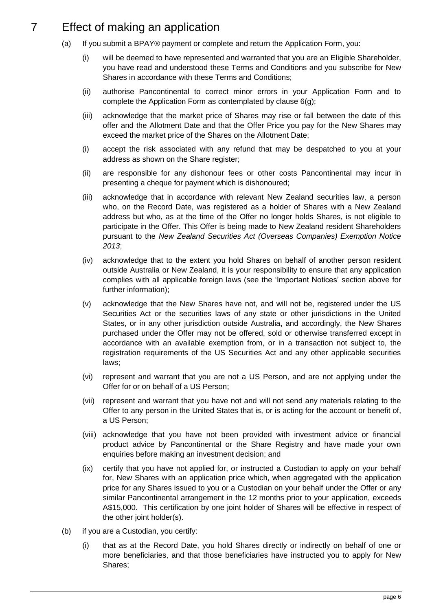### <span id="page-7-0"></span>7 Effect of making an application

- (a) If you submit a BPAY® payment or complete and return the Application Form, you:
	- (i) will be deemed to have represented and warranted that you are an Eligible Shareholder, you have read and understood these Terms and Conditions and you subscribe for New Shares in accordance with these Terms and Conditions;
	- (ii) authorise Pancontinental to correct minor errors in your Application Form and to complete the Application Form as contemplated by clause [6\(g\);](#page-6-0)
	- (iii) acknowledge that the market price of Shares may rise or fall between the date of this offer and the Allotment Date and that the Offer Price you pay for the New Shares may exceed the market price of the Shares on the Allotment Date;
	- (i) accept the risk associated with any refund that may be despatched to you at your address as shown on the Share register;
	- (ii) are responsible for any dishonour fees or other costs Pancontinental may incur in presenting a cheque for payment which is dishonoured;
	- (iii) acknowledge that in accordance with relevant New Zealand securities law, a person who, on the Record Date, was registered as a holder of Shares with a New Zealand address but who, as at the time of the Offer no longer holds Shares, is not eligible to participate in the Offer. This Offer is being made to New Zealand resident Shareholders pursuant to the *New Zealand Securities Act (Overseas Companies) Exemption Notice 2013*;
	- (iv) acknowledge that to the extent you hold Shares on behalf of another person resident outside Australia or New Zealand, it is your responsibility to ensure that any application complies with all applicable foreign laws (see the 'Important Notices' section above for further information);
	- (v) acknowledge that the New Shares have not, and will not be, registered under the US Securities Act or the securities laws of any state or other jurisdictions in the United States, or in any other jurisdiction outside Australia, and accordingly, the New Shares purchased under the Offer may not be offered, sold or otherwise transferred except in accordance with an available exemption from, or in a transaction not subject to, the registration requirements of the US Securities Act and any other applicable securities laws;
	- (vi) represent and warrant that you are not a US Person, and are not applying under the Offer for or on behalf of a US Person;
	- (vii) represent and warrant that you have not and will not send any materials relating to the Offer to any person in the United States that is, or is acting for the account or benefit of, a US Person;
	- (viii) acknowledge that you have not been provided with investment advice or financial product advice by Pancontinental or the Share Registry and have made your own enquiries before making an investment decision; and
	- (ix) certify that you have not applied for, or instructed a Custodian to apply on your behalf for, New Shares with an application price which, when aggregated with the application price for any Shares issued to you or a Custodian on your behalf under the Offer or any similar Pancontinental arrangement in the 12 months prior to your application, exceeds A\$15,000. This certification by one joint holder of Shares will be effective in respect of the other joint holder(s).
- <span id="page-7-2"></span><span id="page-7-1"></span>(b) if you are a Custodian, you certify:
	- (i) that as at the Record Date, you hold Shares directly or indirectly on behalf of one or more beneficiaries, and that those beneficiaries have instructed you to apply for New Shares;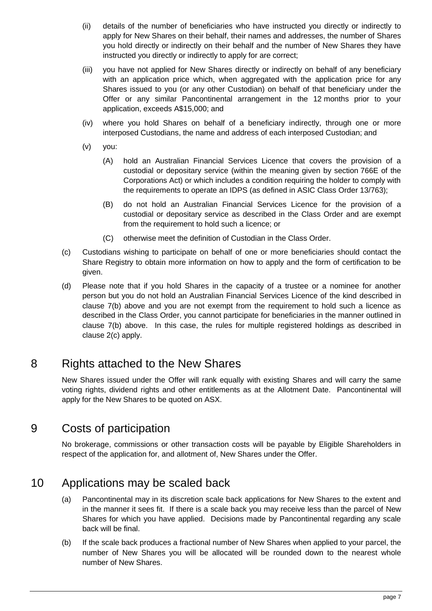- (ii) details of the number of beneficiaries who have instructed you directly or indirectly to apply for New Shares on their behalf, their names and addresses, the number of Shares you hold directly or indirectly on their behalf and the number of New Shares they have instructed you directly or indirectly to apply for are correct;
- (iii) you have not applied for New Shares directly or indirectly on behalf of any beneficiary with an application price which, when aggregated with the application price for any Shares issued to you (or any other Custodian) on behalf of that beneficiary under the Offer or any similar Pancontinental arrangement in the 12 months prior to your application, exceeds A\$15,000; and
- (iv) where you hold Shares on behalf of a beneficiary indirectly, through one or more interposed Custodians, the name and address of each interposed Custodian; and
- (v) you:
	- (A) hold an Australian Financial Services Licence that covers the provision of a custodial or depositary service (within the meaning given by section 766E of the Corporations Act) or which includes a condition requiring the holder to comply with the requirements to operate an IDPS (as defined in ASIC Class Order 13/763);
	- (B) do not hold an Australian Financial Services Licence for the provision of a custodial or depositary service as described in the Class Order and are exempt from the requirement to hold such a licence; or
	- (C) otherwise meet the definition of Custodian in the Class Order.
- <span id="page-8-1"></span>(c) Custodians wishing to participate on behalf of one or more beneficiaries should contact the Share Registry to obtain more information on how to apply and the form of certification to be given.
- (d) Please note that if you hold Shares in the capacity of a trustee or a nominee for another person but you do not hold an Australian Financial Services Licence of the kind described in clause [7\(b\)](#page-7-0) above and you are not exempt from the requirement to hold such a licence as described in the Class Order, you cannot participate for beneficiaries in the manner outlined in clause [7\(b\)](#page-7-0) above. In this case, the rules for multiple registered holdings as described in clause [2\(c\)](#page-5-2) apply.

### 8 Rights attached to the New Shares

New Shares issued under the Offer will rank equally with existing Shares and will carry the same voting rights, dividend rights and other entitlements as at the Allotment Date. Pancontinental will apply for the New Shares to be quoted on ASX.

### 9 Costs of participation

No brokerage, commissions or other transaction costs will be payable by Eligible Shareholders in respect of the application for, and allotment of, New Shares under the Offer.

### <span id="page-8-0"></span>10 Applications may be scaled back

- (a) Pancontinental may in its discretion scale back applications for New Shares to the extent and in the manner it sees fit. If there is a scale back you may receive less than the parcel of New Shares for which you have applied. Decisions made by Pancontinental regarding any scale back will be final.
- (b) If the scale back produces a fractional number of New Shares when applied to your parcel, the number of New Shares you will be allocated will be rounded down to the nearest whole number of New Shares.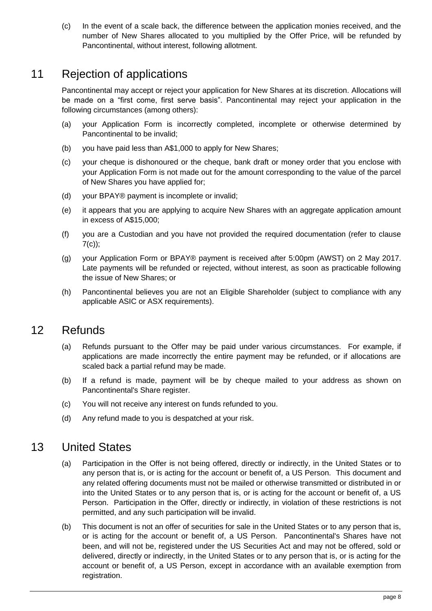(c) In the event of a scale back, the difference between the application monies received, and the number of New Shares allocated to you multiplied by the Offer Price, will be refunded by Pancontinental, without interest, following allotment.

### 11 Rejection of applications

Pancontinental may accept or reject your application for New Shares at its discretion. Allocations will be made on a "first come, first serve basis". Pancontinental may reject your application in the following circumstances (among others):

- (a) your Application Form is incorrectly completed, incomplete or otherwise determined by Pancontinental to be invalid;
- (b) you have paid less than A\$1,000 to apply for New Shares;
- (c) your cheque is dishonoured or the cheque, bank draft or money order that you enclose with your Application Form is not made out for the amount corresponding to the value of the parcel of New Shares you have applied for;
- (d) your BPAY® payment is incomplete or invalid;
- (e) it appears that you are applying to acquire New Shares with an aggregate application amount in excess of A\$15,000;
- (f) you are a Custodian and you have not provided the required documentation (refer to clause  $7(c)$ :
- (g) your Application Form or BPAY® payment is received after 5:00pm (AWST) on 2 May 2017. Late payments will be refunded or rejected, without interest, as soon as practicable following the issue of New Shares; or
- (h) Pancontinental believes you are not an Eligible Shareholder (subject to compliance with any applicable ASIC or ASX requirements).

### 12 Refunds

- (a) Refunds pursuant to the Offer may be paid under various circumstances. For example, if applications are made incorrectly the entire payment may be refunded, or if allocations are scaled back a partial refund may be made.
- (b) If a refund is made, payment will be by cheque mailed to your address as shown on Pancontinental's Share register.
- (c) You will not receive any interest on funds refunded to you.
- (d) Any refund made to you is despatched at your risk.

### 13 United States

- (a) Participation in the Offer is not being offered, directly or indirectly, in the United States or to any person that is, or is acting for the account or benefit of, a US Person. This document and any related offering documents must not be mailed or otherwise transmitted or distributed in or into the United States or to any person that is, or is acting for the account or benefit of, a US Person. Participation in the Offer, directly or indirectly, in violation of these restrictions is not permitted, and any such participation will be invalid.
- (b) This document is not an offer of securities for sale in the United States or to any person that is, or is acting for the account or benefit of, a US Person. Pancontinental's Shares have not been, and will not be, registered under the US Securities Act and may not be offered, sold or delivered, directly or indirectly, in the United States or to any person that is, or is acting for the account or benefit of, a US Person, except in accordance with an available exemption from registration.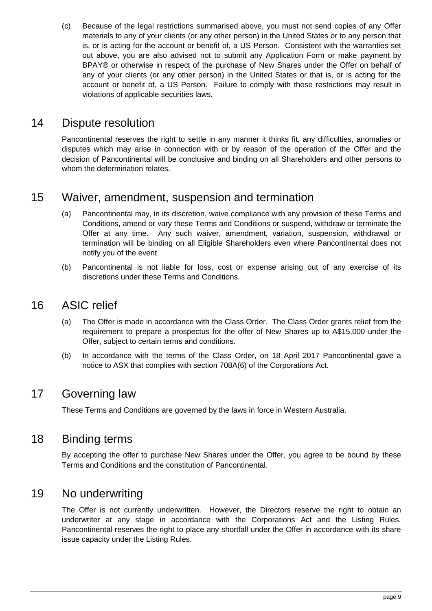(c) Because of the legal restrictions summarised above, you must not send copies of any Offer materials to any of your clients (or any other person) in the United States or to any person that is, or is acting for the account or benefit of, a US Person. Consistent with the warranties set out above, you are also advised not to submit any Application Form or make payment by BPAY® or otherwise in respect of the purchase of New Shares under the Offer on behalf of any of your clients (or any other person) in the United States or that is, or is acting for the account or benefit of, a US Person. Failure to comply with these restrictions may result in violations of applicable securities laws.

### 14 Dispute resolution

Pancontinental reserves the right to settle in any manner it thinks fit, any difficulties, anomalies or disputes which may arise in connection with or by reason of the operation of the Offer and the decision of Pancontinental will be conclusive and binding on all Shareholders and other persons to whom the determination relates.

#### 15 Waiver, amendment, suspension and termination

- (a) Pancontinental may, in its discretion, waive compliance with any provision of these Terms and Conditions, amend or vary these Terms and Conditions or suspend, withdraw or terminate the Offer at any time. Any such waiver, amendment, variation, suspension, withdrawal or termination will be binding on all Eligible Shareholders even where Pancontinental does not notify you of the event.
- (b) Pancontinental is not liable for loss, cost or expense arising out of any exercise of its discretions under these Terms and Conditions.

#### 16 ASIC relief

- (a) The Offer is made in accordance with the Class Order. The Class Order grants relief from the requirement to prepare a prospectus for the offer of New Shares up to A\$15,000 under the Offer, subject to certain terms and conditions.
- (b) In accordance with the terms of the Class Order, on 18 April 2017 Pancontinental gave a notice to ASX that complies with section 708A(6) of the Corporations Act.

#### 17 Governing law

These Terms and Conditions are governed by the laws in force in Western Australia.

#### 18 Binding terms

By accepting the offer to purchase New Shares under the Offer, you agree to be bound by these Terms and Conditions and the constitution of Pancontinental.

### <span id="page-10-0"></span>19 No underwriting

The Offer is not currently underwritten. However, the Directors reserve the right to obtain an underwriter at any stage in accordance with the Corporations Act and the Listing Rules. Pancontinental reserves the right to place any shortfall under the Offer in accordance with its share issue capacity under the Listing Rules.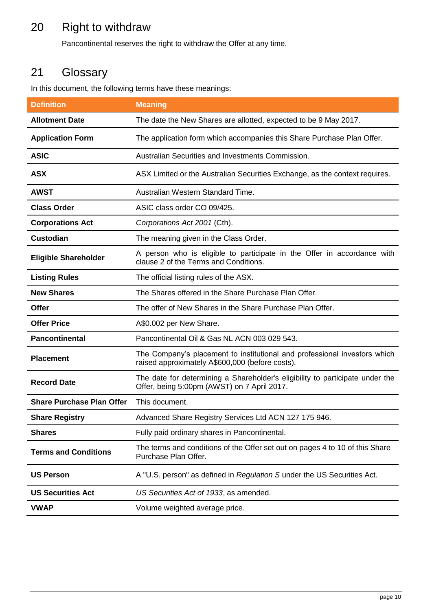### 20 Right to withdraw

Pancontinental reserves the right to withdraw the Offer at any time.

# <span id="page-11-0"></span>21 Glossary

In this document, the following terms have these meanings:

| <b>Definition</b>                | <b>Meaning</b>                                                                                                               |
|----------------------------------|------------------------------------------------------------------------------------------------------------------------------|
| <b>Allotment Date</b>            | The date the New Shares are allotted, expected to be 9 May 2017.                                                             |
| <b>Application Form</b>          | The application form which accompanies this Share Purchase Plan Offer.                                                       |
| <b>ASIC</b>                      | Australian Securities and Investments Commission.                                                                            |
| <b>ASX</b>                       | ASX Limited or the Australian Securities Exchange, as the context requires.                                                  |
| <b>AWST</b>                      | Australian Western Standard Time.                                                                                            |
| <b>Class Order</b>               | ASIC class order CO 09/425.                                                                                                  |
| <b>Corporations Act</b>          | Corporations Act 2001 (Cth).                                                                                                 |
| <b>Custodian</b>                 | The meaning given in the Class Order.                                                                                        |
| <b>Eligible Shareholder</b>      | A person who is eligible to participate in the Offer in accordance with<br>clause 2 of the Terms and Conditions.             |
| <b>Listing Rules</b>             | The official listing rules of the ASX.                                                                                       |
| <b>New Shares</b>                | The Shares offered in the Share Purchase Plan Offer.                                                                         |
| <b>Offer</b>                     | The offer of New Shares in the Share Purchase Plan Offer.                                                                    |
| <b>Offer Price</b>               | A\$0.002 per New Share.                                                                                                      |
| <b>Pancontinental</b>            | Pancontinental Oil & Gas NL ACN 003 029 543.                                                                                 |
| <b>Placement</b>                 | The Company's placement to institutional and professional investors which<br>raised approximately A\$600,000 (before costs). |
| <b>Record Date</b>               | The date for determining a Shareholder's eligibility to participate under the<br>Offer, being 5:00pm (AWST) on 7 April 2017. |
| <b>Share Purchase Plan Offer</b> | This document.                                                                                                               |
| <b>Share Registry</b>            | Advanced Share Registry Services Ltd ACN 127 175 946.                                                                        |
| <b>Shares</b>                    | Fully paid ordinary shares in Pancontinental.                                                                                |
| <b>Terms and Conditions</b>      | The terms and conditions of the Offer set out on pages 4 to 10 of this Share<br>Purchase Plan Offer.                         |
| <b>US Person</b>                 | A "U.S. person" as defined in Regulation S under the US Securities Act.                                                      |
| <b>US Securities Act</b>         | US Securities Act of 1933, as amended.                                                                                       |
| <b>VWAP</b>                      | Volume weighted average price.                                                                                               |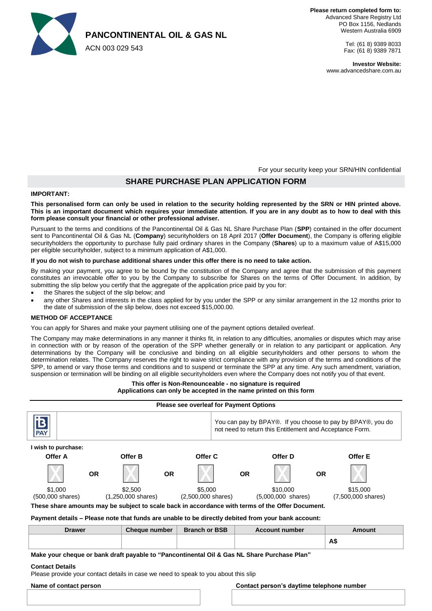

### **PANCONTINENTAL OIL & GAS NL**

ACN 003 029 543

Tel: (61 8) 9389 8033 Fax: (61 8) 9389 7871

**Investor Website:** www.advancedshare.com.au

For your security keep your SRN/HIN confidential

#### **SHARE PURCHASE PLAN APPLICATION FORM**

#### **IMPORTANT:**

#### **This personalised form can only be used in relation to the security holding represented by the SRN or HIN printed above. This is an important document which requires your immediate attention. If you are in any doubt as to how to deal with this form please consult your financial or other professional adviser.**

Pursuant to the terms and conditions of the Pancontinental Oil & Gas NL Share Purchase Plan (**SPP**) contained in the offer document sent to Pancontinental Oil & Gas NL (**Company**) securityholders on 18 April 2017 (**Offer Document**), the Company is offering eligible securityholders the opportunity to purchase fully paid ordinary shares in the Company (**Shares**) up to a maximum value of A\$15,000 per eligible securityholder, subject to a minimum application of A\$1,000.

#### **If you do not wish to purchase additional shares under this offer there is no need to take action.**

By making your payment, you agree to be bound by the constitution of the Company and agree that the submission of this payment constitutes an irrevocable offer to you by the Company to subscribe for Shares on the terms of Offer Document. In addition, by submitting the slip below you certify that the aggregate of the application price paid by you for:

- the Shares the subject of the slip below; and
- any other Shares and interests in the class applied for by you under the SPP or any similar arrangement in the 12 months prior to the date of submission of the slip below, does not exceed \$15,000.00.

#### **METHOD OF ACCEPTANCE**

You can apply for Shares and make your payment utilising one of the payment options detailed overleaf.

The Company may make determinations in any manner it thinks fit, in relation to any difficulties, anomalies or disputes which may arise in connection with or by reason of the operation of the SPP whether generally or in relation to any participant or application. Any determinations by the Company will be conclusive and binding on all eligible securityholders and other persons to whom the determination relates. The Company reserves the right to waive strict compliance with any provision of the terms and conditions of the SPP, to amend or vary those terms and conditions and to suspend or terminate the SPP at any time. Any such amendment, variation, suspension or termination will be binding on all eligible securityholders even where the Company does not notify you of that event.

#### **This offer is Non-Renounceable - no signature is required Applications can only be accepted in the name printed on this form**

| <b>Please see overleaf for Payment Options</b>                                                     |           |                                         |           |                                         |                                                                                                                         |                                     |           |                                          |
|----------------------------------------------------------------------------------------------------|-----------|-----------------------------------------|-----------|-----------------------------------------|-------------------------------------------------------------------------------------------------------------------------|-------------------------------------|-----------|------------------------------------------|
| <b>PAY</b>                                                                                         |           |                                         |           |                                         | You can pay by BPAY®. If you choose to pay by BPAY®, you do<br>not need to return this Entitlement and Acceptance Form. |                                     |           |                                          |
| I wish to purchase:                                                                                |           |                                         |           |                                         |                                                                                                                         |                                     |           |                                          |
| Offer A                                                                                            |           | Offer B                                 |           | Offer C                                 |                                                                                                                         | Offer D                             |           | Offer E                                  |
|                                                                                                    | <b>OR</b> |                                         | <b>OR</b> |                                         | <b>OR</b>                                                                                                               |                                     | <b>OR</b> |                                          |
| \$1,000<br>(500,000 shares)                                                                        |           | \$2,500<br>$(1,250,000 \text{ shares})$ |           | \$5,000<br>$(2,500,000 \text{ shares})$ |                                                                                                                         | \$10,000<br>$(5,000,000 \; shares)$ |           | \$15,000<br>$(7,500,000 \text{ shares})$ |
| These share amounts may be subject to scale back in accordance with terms of the Offer Document.   |           |                                         |           |                                         |                                                                                                                         |                                     |           |                                          |
| Payment details – Please note that funds are unable to be directly debited from your bank account: |           |                                         |           |                                         |                                                                                                                         |                                     |           |                                          |
| <b>Drawer</b>                                                                                      |           | <b>Cheque number</b>                    |           | <b>Branch or BSB</b>                    |                                                                                                                         | <b>Account number</b>               |           | Amount                                   |
|                                                                                                    |           |                                         |           |                                         |                                                                                                                         |                                     |           | A\$                                      |
| Make your cheque or bank draft payable to "Pancontinental Oil & Gas NL Share Purchase Plan"        |           |                                         |           |                                         |                                                                                                                         |                                     |           |                                          |

**Contact Details**

Please provide your contact details in case we need to speak to you about this slip

#### **Name of contact person Contact person's daytime telephone number**